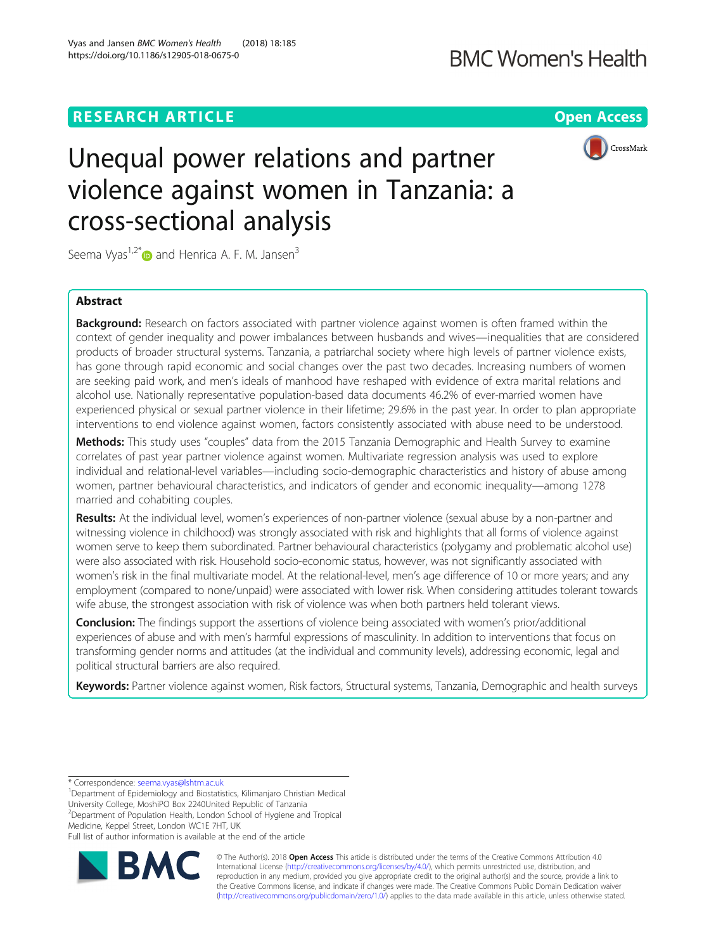## **BMC Women's Health**

## **RESEARCH ARTICLE Example 2018 12:30 The Contract of Contract Contract Open Access**



# Unequal power relations and partner violence against women in Tanzania: a cross-sectional analysis

Seema Vyas<sup>1,2\*</sup> $\bullet$  and Henrica A. F. M. Jansen<sup>3</sup>

## Abstract

Background: Research on factors associated with partner violence against women is often framed within the context of gender inequality and power imbalances between husbands and wives—inequalities that are considered products of broader structural systems. Tanzania, a patriarchal society where high levels of partner violence exists, has gone through rapid economic and social changes over the past two decades. Increasing numbers of women are seeking paid work, and men's ideals of manhood have reshaped with evidence of extra marital relations and alcohol use. Nationally representative population-based data documents 46.2% of ever-married women have experienced physical or sexual partner violence in their lifetime; 29.6% in the past year. In order to plan appropriate interventions to end violence against women, factors consistently associated with abuse need to be understood.

Methods: This study uses "couples" data from the 2015 Tanzania Demographic and Health Survey to examine correlates of past year partner violence against women. Multivariate regression analysis was used to explore individual and relational-level variables—including socio-demographic characteristics and history of abuse among women, partner behavioural characteristics, and indicators of gender and economic inequality—among 1278 married and cohabiting couples.

Results: At the individual level, women's experiences of non-partner violence (sexual abuse by a non-partner and witnessing violence in childhood) was strongly associated with risk and highlights that all forms of violence against women serve to keep them subordinated. Partner behavioural characteristics (polygamy and problematic alcohol use) were also associated with risk. Household socio-economic status, however, was not significantly associated with women's risk in the final multivariate model. At the relational-level, men's age difference of 10 or more years; and any employment (compared to none/unpaid) were associated with lower risk. When considering attitudes tolerant towards wife abuse, the strongest association with risk of violence was when both partners held tolerant views.

**Conclusion:** The findings support the assertions of violence being associated with women's prior/additional experiences of abuse and with men's harmful expressions of masculinity. In addition to interventions that focus on transforming gender norms and attitudes (at the individual and community levels), addressing economic, legal and political structural barriers are also required.

Keywords: Partner violence against women, Risk factors, Structural systems, Tanzania, Demographic and health surveys

\* Correspondence: [seema.vyas@lshtm.ac.uk](mailto:seema.vyas@lshtm.ac.uk) <sup>1</sup>

Department of Epidemiology and Biostatistics, Kilimanjaro Christian Medical University College, MoshiPO Box 2240United Republic of Tanzania

2 Department of Population Health, London School of Hygiene and Tropical Medicine, Keppel Street, London WC1E 7HT, UK

Full list of author information is available at the end of the article



© The Author(s). 2018 Open Access This article is distributed under the terms of the Creative Commons Attribution 4.0 International License [\(http://creativecommons.org/licenses/by/4.0/](http://creativecommons.org/licenses/by/4.0/)), which permits unrestricted use, distribution, and reproduction in any medium, provided you give appropriate credit to the original author(s) and the source, provide a link to the Creative Commons license, and indicate if changes were made. The Creative Commons Public Domain Dedication waiver [\(http://creativecommons.org/publicdomain/zero/1.0/](http://creativecommons.org/publicdomain/zero/1.0/)) applies to the data made available in this article, unless otherwise stated.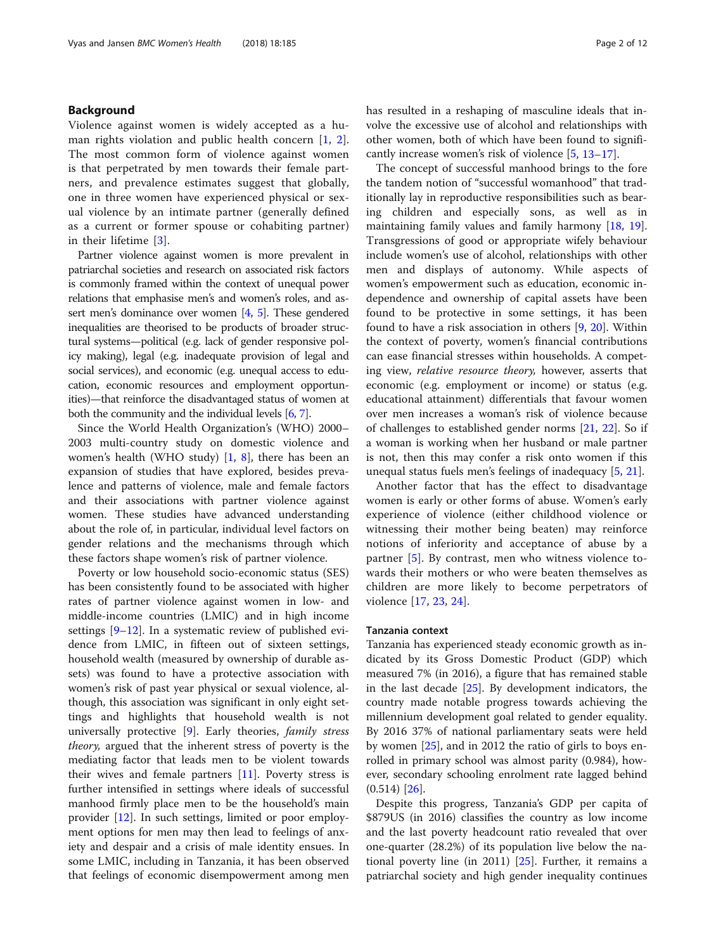## Background

Violence against women is widely accepted as a human rights violation and public health concern [[1,](#page-10-0) [2](#page-10-0)]. The most common form of violence against women is that perpetrated by men towards their female partners, and prevalence estimates suggest that globally, one in three women have experienced physical or sexual violence by an intimate partner (generally defined as a current or former spouse or cohabiting partner) in their lifetime [[3\]](#page-10-0).

Partner violence against women is more prevalent in patriarchal societies and research on associated risk factors is commonly framed within the context of unequal power relations that emphasise men's and women's roles, and assert men's dominance over women  $[4, 5]$  $[4, 5]$  $[4, 5]$  $[4, 5]$ . These gendered inequalities are theorised to be products of broader structural systems—political (e.g. lack of gender responsive policy making), legal (e.g. inadequate provision of legal and social services), and economic (e.g. unequal access to education, economic resources and employment opportunities)—that reinforce the disadvantaged status of women at both the community and the individual levels [\[6,](#page-10-0) [7\]](#page-10-0).

Since the World Health Organization's (WHO) 2000– 2003 multi-country study on domestic violence and women's health (WHO study) [[1](#page-10-0), [8\]](#page-10-0), there has been an expansion of studies that have explored, besides prevalence and patterns of violence, male and female factors and their associations with partner violence against women. These studies have advanced understanding about the role of, in particular, individual level factors on gender relations and the mechanisms through which these factors shape women's risk of partner violence.

Poverty or low household socio-economic status (SES) has been consistently found to be associated with higher rates of partner violence against women in low- and middle-income countries (LMIC) and in high income settings [[9](#page-10-0)–[12](#page-11-0)]. In a systematic review of published evidence from LMIC, in fifteen out of sixteen settings, household wealth (measured by ownership of durable assets) was found to have a protective association with women's risk of past year physical or sexual violence, although, this association was significant in only eight settings and highlights that household wealth is not universally protective  $[9]$  $[9]$ . Early theories, *family stress* theory, argued that the inherent stress of poverty is the mediating factor that leads men to be violent towards their wives and female partners [\[11\]](#page-11-0). Poverty stress is further intensified in settings where ideals of successful manhood firmly place men to be the household's main provider [\[12\]](#page-11-0). In such settings, limited or poor employment options for men may then lead to feelings of anxiety and despair and a crisis of male identity ensues. In some LMIC, including in Tanzania, it has been observed that feelings of economic disempowerment among men has resulted in a reshaping of masculine ideals that involve the excessive use of alcohol and relationships with other women, both of which have been found to significantly increase women's risk of violence [[5,](#page-10-0) [13](#page-11-0)–[17](#page-11-0)].

The concept of successful manhood brings to the fore the tandem notion of "successful womanhood" that traditionally lay in reproductive responsibilities such as bearing children and especially sons, as well as in maintaining family values and family harmony [\[18](#page-11-0), [19](#page-11-0)]. Transgressions of good or appropriate wifely behaviour include women's use of alcohol, relationships with other men and displays of autonomy. While aspects of women's empowerment such as education, economic independence and ownership of capital assets have been found to be protective in some settings, it has been found to have a risk association in others [\[9](#page-10-0), [20](#page-11-0)]. Within the context of poverty, women's financial contributions can ease financial stresses within households. A competing view, relative resource theory, however, asserts that economic (e.g. employment or income) or status (e.g. educational attainment) differentials that favour women over men increases a woman's risk of violence because of challenges to established gender norms [[21](#page-11-0), [22\]](#page-11-0). So if a woman is working when her husband or male partner is not, then this may confer a risk onto women if this unequal status fuels men's feelings of inadequacy [\[5](#page-10-0), [21\]](#page-11-0).

Another factor that has the effect to disadvantage women is early or other forms of abuse. Women's early experience of violence (either childhood violence or witnessing their mother being beaten) may reinforce notions of inferiority and acceptance of abuse by a partner [\[5](#page-10-0)]. By contrast, men who witness violence towards their mothers or who were beaten themselves as children are more likely to become perpetrators of violence [[17,](#page-11-0) [23](#page-11-0), [24](#page-11-0)].

## Tanzania context

Tanzania has experienced steady economic growth as indicated by its Gross Domestic Product (GDP) which measured 7% (in 2016), a figure that has remained stable in the last decade  $[25]$  $[25]$ . By development indicators, the country made notable progress towards achieving the millennium development goal related to gender equality. By 2016 37% of national parliamentary seats were held by women [\[25](#page-11-0)], and in 2012 the ratio of girls to boys enrolled in primary school was almost parity (0.984), however, secondary schooling enrolment rate lagged behind  $(0.514)$  [[26\]](#page-11-0).

Despite this progress, Tanzania's GDP per capita of \$879US (in 2016) classifies the country as low income and the last poverty headcount ratio revealed that over one-quarter (28.2%) of its population live below the national poverty line (in 2011) [[25\]](#page-11-0). Further, it remains a patriarchal society and high gender inequality continues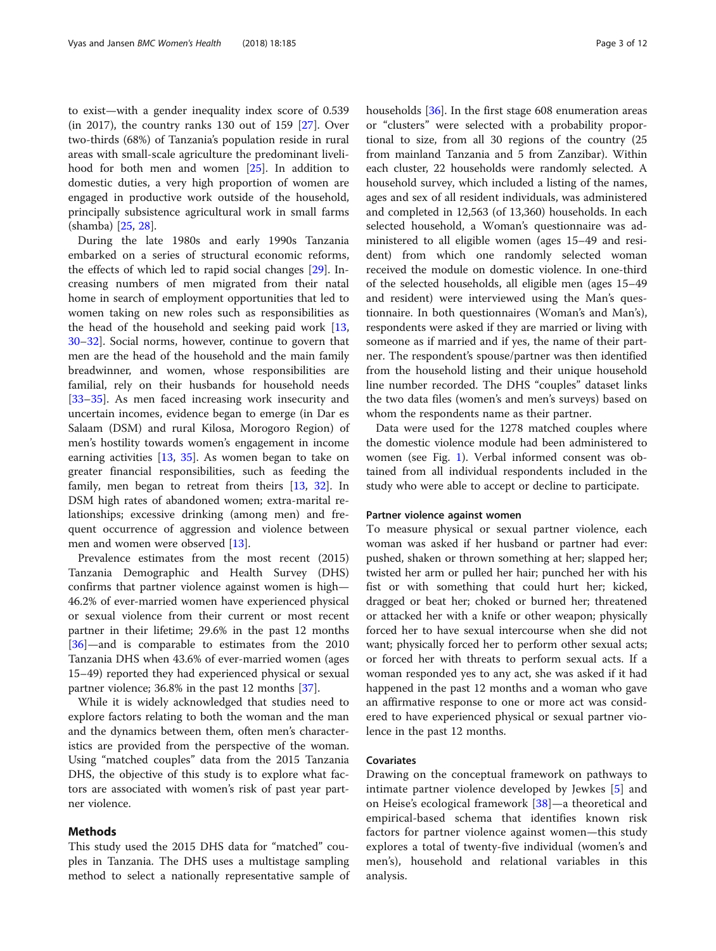to exist—with a gender inequality index score of 0.539 (in 2017), the country ranks 130 out of 159 [\[27\]](#page-11-0). Over two-thirds (68%) of Tanzania's population reside in rural areas with small-scale agriculture the predominant livelihood for both men and women [[25\]](#page-11-0). In addition to domestic duties, a very high proportion of women are engaged in productive work outside of the household, principally subsistence agricultural work in small farms (shamba) [\[25](#page-11-0), [28](#page-11-0)].

During the late 1980s and early 1990s Tanzania embarked on a series of structural economic reforms, the effects of which led to rapid social changes [[29](#page-11-0)]. Increasing numbers of men migrated from their natal home in search of employment opportunities that led to women taking on new roles such as responsibilities as the head of the household and seeking paid work [[13](#page-11-0), [30](#page-11-0)–[32](#page-11-0)]. Social norms, however, continue to govern that men are the head of the household and the main family breadwinner, and women, whose responsibilities are familial, rely on their husbands for household needs [[33](#page-11-0)–[35](#page-11-0)]. As men faced increasing work insecurity and uncertain incomes, evidence began to emerge (in Dar es Salaam (DSM) and rural Kilosa, Morogoro Region) of men's hostility towards women's engagement in income earning activities [\[13,](#page-11-0) [35](#page-11-0)]. As women began to take on greater financial responsibilities, such as feeding the family, men began to retreat from theirs [\[13,](#page-11-0) [32](#page-11-0)]. In DSM high rates of abandoned women; extra-marital relationships; excessive drinking (among men) and frequent occurrence of aggression and violence between men and women were observed [\[13](#page-11-0)].

Prevalence estimates from the most recent (2015) Tanzania Demographic and Health Survey (DHS) confirms that partner violence against women is high— 46.2% of ever-married women have experienced physical or sexual violence from their current or most recent partner in their lifetime; 29.6% in the past 12 months [[36\]](#page-11-0)—and is comparable to estimates from the 2010 Tanzania DHS when 43.6% of ever-married women (ages 15–49) reported they had experienced physical or sexual partner violence; 36.8% in the past 12 months [\[37](#page-11-0)].

While it is widely acknowledged that studies need to explore factors relating to both the woman and the man and the dynamics between them, often men's characteristics are provided from the perspective of the woman. Using "matched couples" data from the 2015 Tanzania DHS, the objective of this study is to explore what factors are associated with women's risk of past year partner violence.

## Methods

This study used the 2015 DHS data for "matched" couples in Tanzania. The DHS uses a multistage sampling method to select a nationally representative sample of households [[36\]](#page-11-0). In the first stage 608 enumeration areas or "clusters" were selected with a probability proportional to size, from all 30 regions of the country (25 from mainland Tanzania and 5 from Zanzibar). Within each cluster, 22 households were randomly selected. A household survey, which included a listing of the names, ages and sex of all resident individuals, was administered and completed in 12,563 (of 13,360) households. In each selected household, a Woman's questionnaire was administered to all eligible women (ages 15–49 and resident) from which one randomly selected woman received the module on domestic violence. In one-third of the selected households, all eligible men (ages 15–49 and resident) were interviewed using the Man's questionnaire. In both questionnaires (Woman's and Man's), respondents were asked if they are married or living with someone as if married and if yes, the name of their partner. The respondent's spouse/partner was then identified from the household listing and their unique household line number recorded. The DHS "couples" dataset links the two data files (women's and men's surveys) based on whom the respondents name as their partner.

Data were used for the 1278 matched couples where the domestic violence module had been administered to women (see Fig. [1](#page-3-0)). Verbal informed consent was obtained from all individual respondents included in the study who were able to accept or decline to participate.

## Partner violence against women

To measure physical or sexual partner violence, each woman was asked if her husband or partner had ever: pushed, shaken or thrown something at her; slapped her; twisted her arm or pulled her hair; punched her with his fist or with something that could hurt her; kicked, dragged or beat her; choked or burned her; threatened or attacked her with a knife or other weapon; physically forced her to have sexual intercourse when she did not want; physically forced her to perform other sexual acts; or forced her with threats to perform sexual acts. If a woman responded yes to any act, she was asked if it had happened in the past 12 months and a woman who gave an affirmative response to one or more act was considered to have experienced physical or sexual partner violence in the past 12 months.

## Covariates

Drawing on the conceptual framework on pathways to intimate partner violence developed by Jewkes [\[5](#page-10-0)] and on Heise's ecological framework [[38\]](#page-11-0)—a theoretical and empirical-based schema that identifies known risk factors for partner violence against women—this study explores a total of twenty-five individual (women's and men's), household and relational variables in this analysis.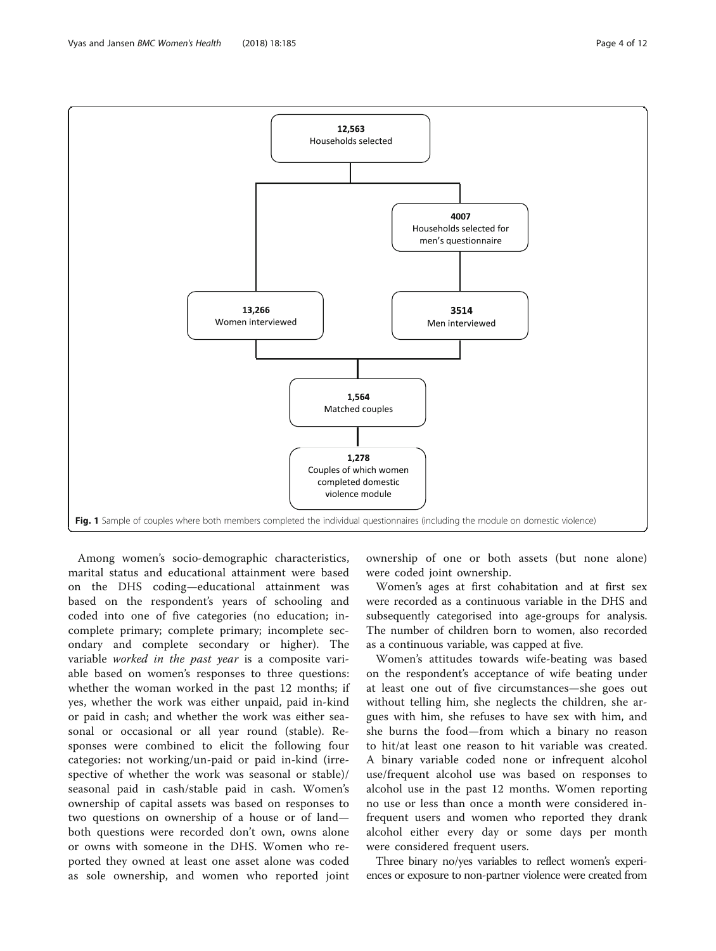Among women's socio-demographic characteristics, marital status and educational attainment were based on the DHS coding—educational attainment was based on the respondent's years of schooling and coded into one of five categories (no education; incomplete primary; complete primary; incomplete secondary and complete secondary or higher). The variable worked in the past year is a composite variable based on women's responses to three questions: whether the woman worked in the past 12 months; if yes, whether the work was either unpaid, paid in-kind or paid in cash; and whether the work was either seasonal or occasional or all year round (stable). Responses were combined to elicit the following four categories: not working/un-paid or paid in-kind (irrespective of whether the work was seasonal or stable)/ seasonal paid in cash/stable paid in cash. Women's ownership of capital assets was based on responses to two questions on ownership of a house or of land both questions were recorded don't own, owns alone or owns with someone in the DHS. Women who reported they owned at least one asset alone was coded as sole ownership, and women who reported joint

ownership of one or both assets (but none alone) were coded joint ownership.

Women's ages at first cohabitation and at first sex were recorded as a continuous variable in the DHS and subsequently categorised into age-groups for analysis. The number of children born to women, also recorded as a continuous variable, was capped at five.

Women's attitudes towards wife-beating was based on the respondent's acceptance of wife beating under at least one out of five circumstances—she goes out without telling him, she neglects the children, she argues with him, she refuses to have sex with him, and she burns the food—from which a binary no reason to hit/at least one reason to hit variable was created. A binary variable coded none or infrequent alcohol use/frequent alcohol use was based on responses to alcohol use in the past 12 months. Women reporting no use or less than once a month were considered infrequent users and women who reported they drank alcohol either every day or some days per month were considered frequent users.

Three binary no/yes variables to reflect women's experiences or exposure to non-partner violence were created from

<span id="page-3-0"></span>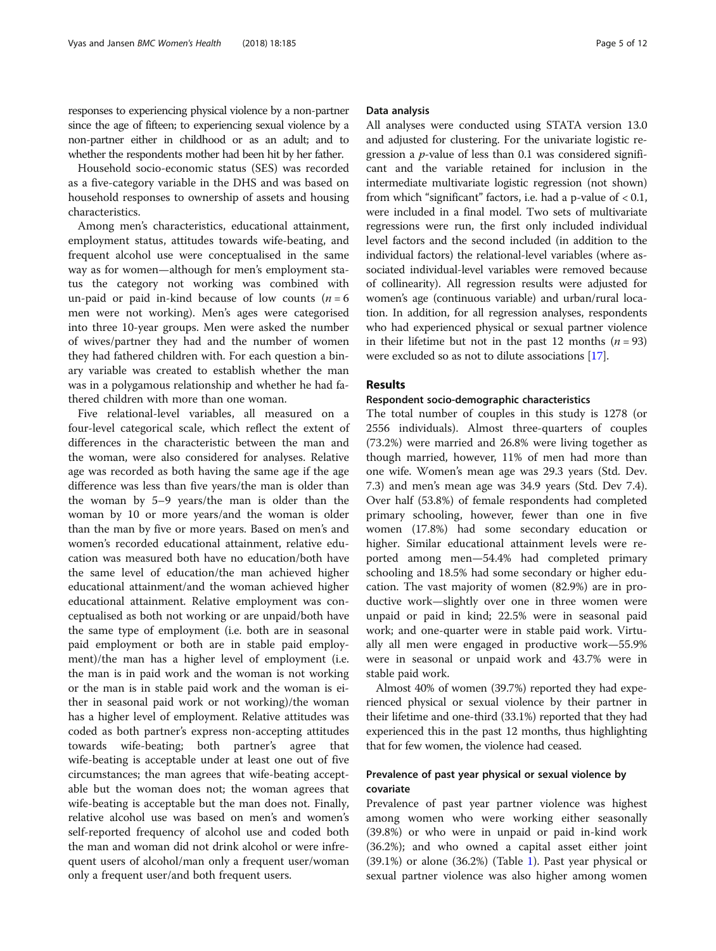Household socio-economic status (SES) was recorded as a five-category variable in the DHS and was based on household responses to ownership of assets and housing characteristics.

Among men's characteristics, educational attainment, employment status, attitudes towards wife-beating, and frequent alcohol use were conceptualised in the same way as for women—although for men's employment status the category not working was combined with un-paid or paid in-kind because of low counts  $(n = 6$ men were not working). Men's ages were categorised into three 10-year groups. Men were asked the number of wives/partner they had and the number of women they had fathered children with. For each question a binary variable was created to establish whether the man was in a polygamous relationship and whether he had fathered children with more than one woman.

Five relational-level variables, all measured on a four-level categorical scale, which reflect the extent of differences in the characteristic between the man and the woman, were also considered for analyses. Relative age was recorded as both having the same age if the age difference was less than five years/the man is older than the woman by 5–9 years/the man is older than the woman by 10 or more years/and the woman is older than the man by five or more years. Based on men's and women's recorded educational attainment, relative education was measured both have no education/both have the same level of education/the man achieved higher educational attainment/and the woman achieved higher educational attainment. Relative employment was conceptualised as both not working or are unpaid/both have the same type of employment (i.e. both are in seasonal paid employment or both are in stable paid employment)/the man has a higher level of employment (i.e. the man is in paid work and the woman is not working or the man is in stable paid work and the woman is either in seasonal paid work or not working)/the woman has a higher level of employment. Relative attitudes was coded as both partner's express non-accepting attitudes towards wife-beating; both partner's agree that wife-beating is acceptable under at least one out of five circumstances; the man agrees that wife-beating acceptable but the woman does not; the woman agrees that wife-beating is acceptable but the man does not. Finally, relative alcohol use was based on men's and women's self-reported frequency of alcohol use and coded both the man and woman did not drink alcohol or were infrequent users of alcohol/man only a frequent user/woman only a frequent user/and both frequent users.

## Data analysis

All analyses were conducted using STATA version 13.0 and adjusted for clustering. For the univariate logistic regression a  $p$ -value of less than 0.1 was considered significant and the variable retained for inclusion in the intermediate multivariate logistic regression (not shown) from which "significant" factors, i.e. had a p-value of < 0.1, were included in a final model. Two sets of multivariate regressions were run, the first only included individual level factors and the second included (in addition to the individual factors) the relational-level variables (where associated individual-level variables were removed because of collinearity). All regression results were adjusted for women's age (continuous variable) and urban/rural location. In addition, for all regression analyses, respondents who had experienced physical or sexual partner violence in their lifetime but not in the past 12 months  $(n = 93)$ were excluded so as not to dilute associations [\[17\]](#page-11-0).

### **Results**

## Respondent socio-demographic characteristics

The total number of couples in this study is 1278 (or 2556 individuals). Almost three-quarters of couples (73.2%) were married and 26.8% were living together as though married, however, 11% of men had more than one wife. Women's mean age was 29.3 years (Std. Dev. 7.3) and men's mean age was 34.9 years (Std. Dev 7.4). Over half (53.8%) of female respondents had completed primary schooling, however, fewer than one in five women (17.8%) had some secondary education or higher. Similar educational attainment levels were reported among men—54.4% had completed primary schooling and 18.5% had some secondary or higher education. The vast majority of women (82.9%) are in productive work—slightly over one in three women were unpaid or paid in kind; 22.5% were in seasonal paid work; and one-quarter were in stable paid work. Virtually all men were engaged in productive work—55.9% were in seasonal or unpaid work and 43.7% were in stable paid work.

Almost 40% of women (39.7%) reported they had experienced physical or sexual violence by their partner in their lifetime and one-third (33.1%) reported that they had experienced this in the past 12 months, thus highlighting that for few women, the violence had ceased.

## Prevalence of past year physical or sexual violence by covariate

Prevalence of past year partner violence was highest among women who were working either seasonally (39.8%) or who were in unpaid or paid in-kind work (36.2%); and who owned a capital asset either joint (39.1%) or alone (36.2%) (Table [1\)](#page-5-0). Past year physical or sexual partner violence was also higher among women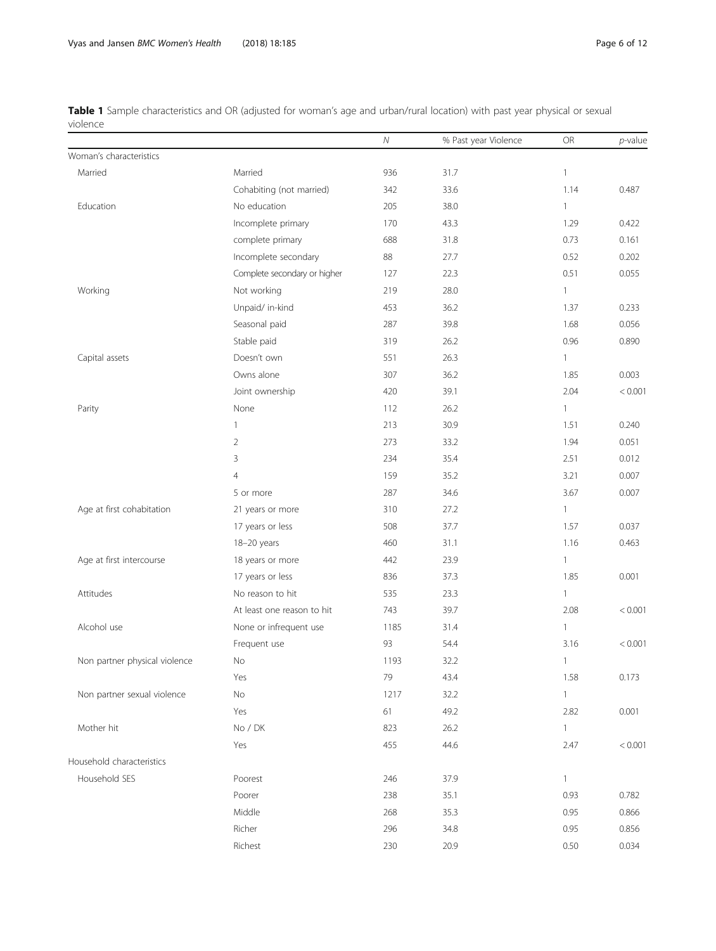<span id="page-5-0"></span>Table 1 Sample characteristics and OR (adjusted for woman's age and urban/rural location) with past year physical or sexual violence

|                               |                               | ${\cal N}$ | % Past year Violence | <b>OR</b>      | $p$ -value |
|-------------------------------|-------------------------------|------------|----------------------|----------------|------------|
| Woman's characteristics       |                               |            |                      |                |            |
| Married                       | Married                       | 936        | 31.7                 | $\mathbf{1}$   |            |
|                               | Cohabiting (not married)      | 342        | 33.6                 | 1.14           | 0.487      |
| Education                     | No education                  | 205        | 38.0                 | $\mathbf{1}$   |            |
|                               | Incomplete primary            | 170        | 43.3                 | 1.29           | 0.422      |
|                               | complete primary              | 688        | 31.8                 | 0.73           | 0.161      |
|                               | Incomplete secondary          | 88         | 27.7                 | 0.52           | 0.202      |
|                               | Complete secondary or higher  | 127        | 22.3                 | 0.51           | 0.055      |
| Working                       | Not working                   | 219        | 28.0                 | $\mathbf{1}$   |            |
|                               | Unpaid/ in-kind               | 453        | 36.2                 | 1.37           | 0.233      |
|                               | Seasonal paid                 | 287        | 39.8                 | 1.68           | 0.056      |
|                               | Stable paid                   | 319        | 26.2                 | 0.96           | 0.890      |
| Capital assets                | Doesn't own                   | 551        | 26.3                 | $\mathbf{1}$   |            |
|                               | Owns alone                    | 307        | 36.2                 | 1.85           | 0.003      |
|                               | Joint ownership               | 420        | 39.1                 | 2.04           | < 0.001    |
| Parity                        | None                          | 112        | 26.2                 | $\mathbf{1}$   |            |
|                               | 1                             | 213        | 30.9                 | 1.51           | 0.240      |
|                               | $\overline{2}$                | 273        | 33.2                 | 1.94           | 0.051      |
|                               | 3                             | 234        | 35.4                 | 2.51           | 0.012      |
|                               | $\overline{4}$                | 159        | 35.2                 | 3.21           | 0.007      |
|                               | 5 or more                     | 287        | 34.6                 | 3.67           | 0.007      |
| Age at first cohabitation     | 21 years or more              | 310        | 27.2                 | $\mathbf{1}$   |            |
|                               | 17 years or less              | 508        | 37.7                 | 1.57           | 0.037      |
|                               | 18-20 years                   | 460        | 31.1                 | 1.16           | 0.463      |
| Age at first intercourse      | 18 years or more              | 442        | 23.9                 | $\mathbf{1}$   |            |
|                               | 17 years or less              | 836        | 37.3                 | 1.85           | 0.001      |
| Attitudes                     | No reason to hit              | 535        | 23.3                 | $\mathbf{1}$   |            |
|                               | At least one reason to hit    | 743        | 39.7                 | 2.08           | < 0.001    |
| Alcohol use                   | None or infrequent use        | 1185       | 31.4                 | $\mathbf{1}$   |            |
|                               | Frequent use                  | 93         | 54.4                 | 3.16           | < 0.001    |
| Non partner physical violence | No                            | 1193       | 32.2                 | $\mathbf{1}$   |            |
|                               | Yes                           | 79         | 43.4                 | 1.58           | 0.173      |
| Non partner sexual violence   | No                            | 1217       | 32.2                 | 1              |            |
|                               | Yes                           | 61         | 49.2                 | 2.82           | 0.001      |
| Mother hit                    | $\mathrm{No}$ / $\mathrm{DK}$ | 823        | 26.2                 | $\mathbf{1}$   |            |
|                               | Yes                           | 455        | 44.6                 | 2.47           | < 0.001    |
| Household characteristics     |                               |            |                      |                |            |
| Household SES                 | Poorest                       | 246        | 37.9                 | $\overline{1}$ |            |
|                               | Poorer                        | 238        | 35.1                 | 0.93           | 0.782      |
|                               | Middle                        | 268        | 35.3                 | 0.95           | 0.866      |
|                               | Richer                        | 296        | 34.8                 | 0.95           | 0.856      |
|                               | Richest                       | 230        | 20.9                 | 0.50           | 0.034      |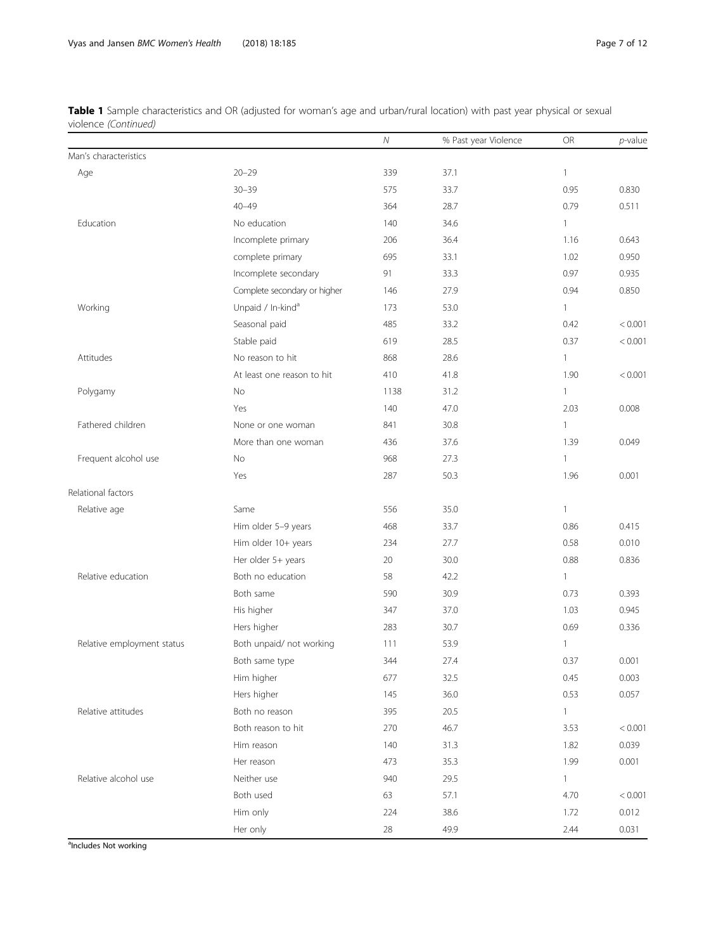Table 1 Sample characteristics and OR (adjusted for woman's age and urban/rural location) with past year physical or sexual violence (Continued)

|                            |                               | ${\cal N}$ | % Past year Violence | <b>OR</b>    | $p$ -value |
|----------------------------|-------------------------------|------------|----------------------|--------------|------------|
| Man's characteristics      |                               |            |                      |              |            |
| Age                        | $20 - 29$                     | 339        | 37.1                 | $\mathbf{1}$ |            |
|                            | $30 - 39$                     | 575        | 33.7                 | 0.95         | 0.830      |
|                            | $40 - 49$                     | 364        | 28.7                 | 0.79         | 0.511      |
| Education                  | No education                  | 140        | 34.6                 | 1            |            |
|                            | Incomplete primary            | 206        | 36.4                 | 1.16         | 0.643      |
|                            | complete primary              | 695        | 33.1                 | 1.02         | 0.950      |
|                            | Incomplete secondary          | 91         | 33.3                 | 0.97         | 0.935      |
|                            | Complete secondary or higher  | 146        | 27.9                 | 0.94         | 0.850      |
| Working                    | Unpaid / In-kind <sup>a</sup> | 173        | 53.0                 | 1            |            |
|                            | Seasonal paid                 | 485        | 33.2                 | 0.42         | < 0.001    |
|                            | Stable paid                   | 619        | 28.5                 | 0.37         | < 0.001    |
| Attitudes                  | No reason to hit              | 868        | 28.6                 | $\mathbf{1}$ |            |
|                            | At least one reason to hit    | 410        | 41.8                 | 1.90         | < 0.001    |
| Polygamy                   | No                            | 1138       | 31.2                 | 1            |            |
|                            | Yes                           | 140        | 47.0                 | 2.03         | 0.008      |
| Fathered children          | None or one woman             | 841        | 30.8                 | $\mathbf{1}$ |            |
|                            | More than one woman           | 436        | 37.6                 | 1.39         | 0.049      |
| Frequent alcohol use       | No                            | 968        | 27.3                 | $\mathbf{1}$ |            |
|                            | Yes                           | 287        | 50.3                 | 1.96         | 0.001      |
| Relational factors         |                               |            |                      |              |            |
| Relative age               | Same                          | 556        | 35.0                 | $\mathbf{1}$ |            |
|                            | Him older 5-9 years           | 468        | 33.7                 | 0.86         | 0.415      |
|                            | Him older 10+ years           | 234        | 27.7                 | 0.58         | 0.010      |
|                            | Her older 5+ years            | 20         | 30.0                 | 0.88         | 0.836      |
| Relative education         | Both no education             | 58         | 42.2                 | 1            |            |
|                            | Both same                     | 590        | 30.9                 | 0.73         | 0.393      |
|                            | His higher                    | 347        | 37.0                 | 1.03         | 0.945      |
|                            | Hers higher                   | 283        | 30.7                 | 0.69         | 0.336      |
| Relative employment status | Both unpaid/ not working      | 111        | 53.9                 | 1            |            |
|                            | Both same type                | 344        | 27.4                 | 0.37         | 0.001      |
|                            | Him higher                    | 677        | 32.5                 | 0.45         | 0.003      |
|                            | Hers higher                   | 145        | 36.0                 | 0.53         | 0.057      |
| Relative attitudes         | Both no reason                | 395        | 20.5                 | $\mathbf{1}$ |            |
|                            | Both reason to hit            | 270        | 46.7                 | 3.53         | < 0.001    |
|                            | Him reason                    | 140        | 31.3                 | 1.82         | 0.039      |
|                            | Her reason                    | 473        | 35.3                 | 1.99         | 0.001      |
| Relative alcohol use       | Neither use                   | 940        | 29.5                 | $\mathbf{1}$ |            |
|                            | Both used                     | 63         | 57.1                 | 4.70         | < 0.001    |
|                            | Him only                      | 224        | 38.6                 | 1.72         | 0.012      |
|                            | Her only                      | 28         | 49.9                 | 2.44         | 0.031      |

<sup>a</sup>Includes Not working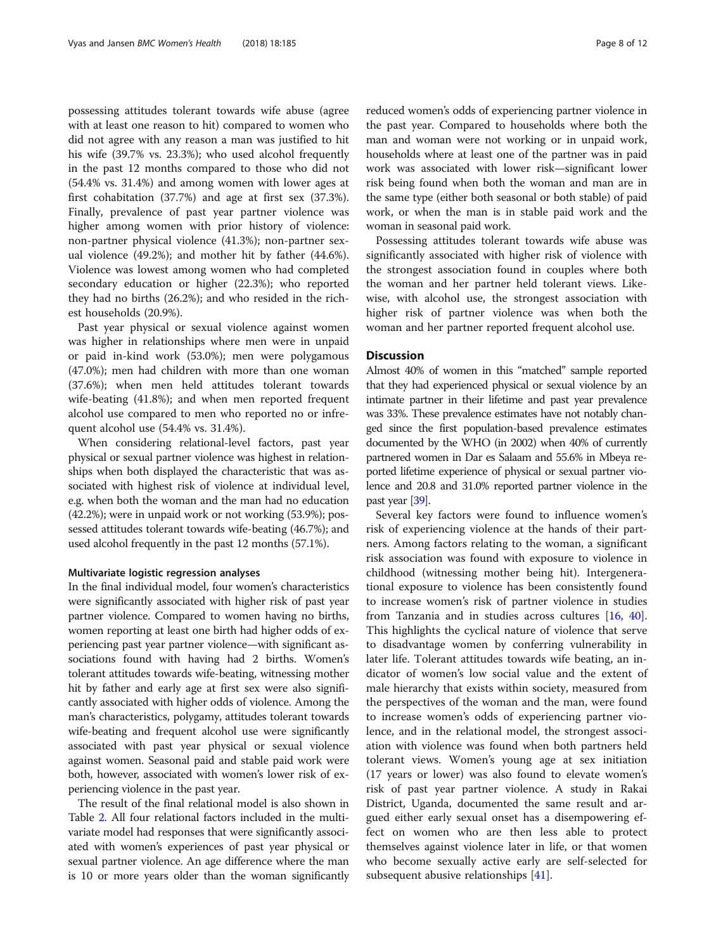possessing attitudes tolerant towards wife abuse (agree with at least one reason to hit) compared to women who did not agree with any reason a man was justified to hit his wife (39.7% vs. 23.3%); who used alcohol frequently in the past 12 months compared to those who did not (54.4% vs. 31.4%) and among women with lower ages at first cohabitation (37.7%) and age at first sex (37.3%). Finally, prevalence of past year partner violence was higher among women with prior history of violence: non-partner physical violence (41.3%); non-partner sexual violence (49.2%); and mother hit by father (44.6%). Violence was lowest among women who had completed secondary education or higher (22.3%); who reported they had no births (26.2%); and who resided in the richest households (20.9%).

Past year physical or sexual violence against women was higher in relationships where men were in unpaid or paid in-kind work (53.0%); men were polygamous (47.0%); men had children with more than one woman (37.6%); when men held attitudes tolerant towards wife-beating (41.8%); and when men reported frequent alcohol use compared to men who reported no or infrequent alcohol use (54.4% vs. 31.4%).

When considering relational-level factors, past year physical or sexual partner violence was highest in relationships when both displayed the characteristic that was associated with highest risk of violence at individual level, e.g. when both the woman and the man had no education (42.2%); were in unpaid work or not working (53.9%); possessed attitudes tolerant towards wife-beating (46.7%); and used alcohol frequently in the past 12 months (57.1%).

### Multivariate logistic regression analyses

In the final individual model, four women's characteristics were significantly associated with higher risk of past year partner violence. Compared to women having no births, women reporting at least one birth had higher odds of experiencing past year partner violence—with significant associations found with having had 2 births. Women's tolerant attitudes towards wife-beating, witnessing mother hit by father and early age at first sex were also significantly associated with higher odds of violence. Among the man's characteristics, polygamy, attitudes tolerant towards wife-beating and frequent alcohol use were significantly associated with past year physical or sexual violence against women. Seasonal paid and stable paid work were both, however, associated with women's lower risk of experiencing violence in the past year.

The result of the final relational model is also shown in Table [2.](#page-8-0) All four relational factors included in the multivariate model had responses that were significantly associated with women's experiences of past year physical or sexual partner violence. An age difference where the man is 10 or more years older than the woman significantly

reduced women's odds of experiencing partner violence in the past year. Compared to households where both the man and woman were not working or in unpaid work, households where at least one of the partner was in paid work was associated with lower risk—significant lower risk being found when both the woman and man are in the same type (either both seasonal or both stable) of paid work, or when the man is in stable paid work and the woman in seasonal paid work.

Possessing attitudes tolerant towards wife abuse was significantly associated with higher risk of violence with the strongest association found in couples where both the woman and her partner held tolerant views. Likewise, with alcohol use, the strongest association with higher risk of partner violence was when both the woman and her partner reported frequent alcohol use.

## **Discussion**

Almost 40% of women in this "matched" sample reported that they had experienced physical or sexual violence by an intimate partner in their lifetime and past year prevalence was 33%. These prevalence estimates have not notably changed since the first population-based prevalence estimates documented by the WHO (in 2002) when 40% of currently partnered women in Dar es Salaam and 55.6% in Mbeya reported lifetime experience of physical or sexual partner violence and 20.8 and 31.0% reported partner violence in the past year [\[39](#page-11-0)].

Several key factors were found to influence women's risk of experiencing violence at the hands of their partners. Among factors relating to the woman, a significant risk association was found with exposure to violence in childhood (witnessing mother being hit). Intergenerational exposure to violence has been consistently found to increase women's risk of partner violence in studies from Tanzania and in studies across cultures [[16,](#page-11-0) [40](#page-11-0)]. This highlights the cyclical nature of violence that serve to disadvantage women by conferring vulnerability in later life. Tolerant attitudes towards wife beating, an indicator of women's low social value and the extent of male hierarchy that exists within society, measured from the perspectives of the woman and the man, were found to increase women's odds of experiencing partner violence, and in the relational model, the strongest association with violence was found when both partners held tolerant views. Women's young age at sex initiation (17 years or lower) was also found to elevate women's risk of past year partner violence. A study in Rakai District, Uganda, documented the same result and argued either early sexual onset has a disempowering effect on women who are then less able to protect themselves against violence later in life, or that women who become sexually active early are self-selected for subsequent abusive relationships [[41](#page-11-0)].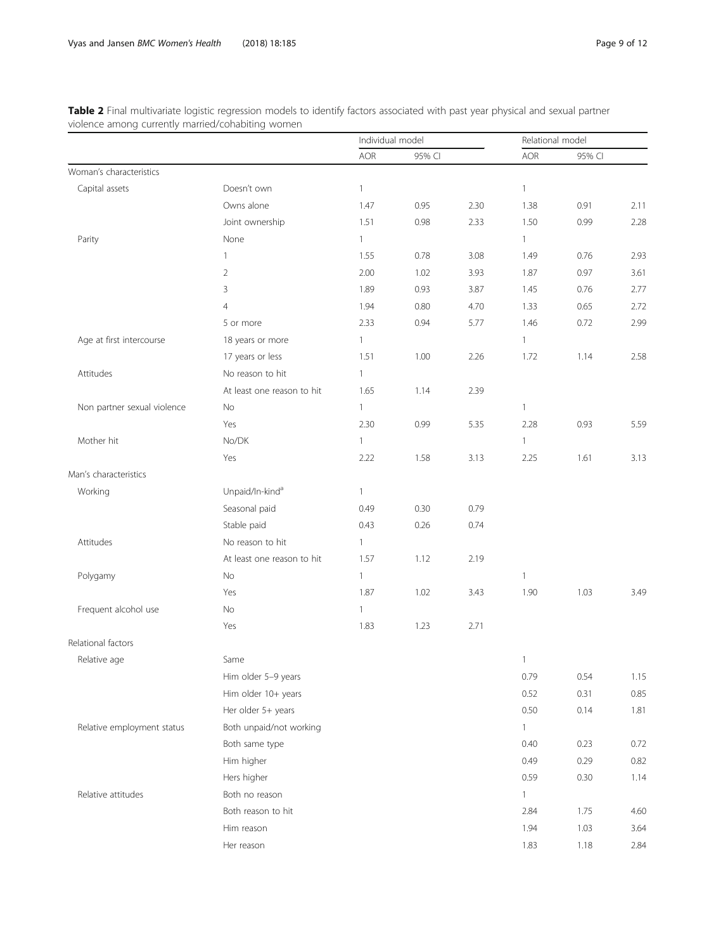<span id="page-8-0"></span>

| Table 2 Final multivariate logistic regression models to identify factors associated with past year physical and sexual partner |  |
|---------------------------------------------------------------------------------------------------------------------------------|--|
| violence among currently married/cohabiting women                                                                               |  |

|                             |                             | Individual model |        |      | Relational model |        |      |
|-----------------------------|-----------------------------|------------------|--------|------|------------------|--------|------|
|                             |                             | AOR              | 95% CI |      | <b>AOR</b>       | 95% CI |      |
| Woman's characteristics     |                             |                  |        |      |                  |        |      |
| Capital assets              | Doesn't own                 | $\mathbf{1}$     |        |      | $\mathbf{1}$     |        |      |
|                             | Owns alone                  | 1.47             | 0.95   | 2.30 | 1.38             | 0.91   | 2.11 |
|                             | Joint ownership             | 1.51             | 0.98   | 2.33 | 1.50             | 0.99   | 2.28 |
| Parity                      | None                        | $\mathbf{1}$     |        |      | $\mathbf{1}$     |        |      |
|                             | $\mathbf{1}$                | 1.55             | 0.78   | 3.08 | 1.49             | 0.76   | 2.93 |
|                             | $\overline{2}$              | 2.00             | 1.02   | 3.93 | 1.87             | 0.97   | 3.61 |
|                             | 3                           | 1.89             | 0.93   | 3.87 | 1.45             | 0.76   | 2.77 |
|                             | $\overline{4}$              | 1.94             | 0.80   | 4.70 | 1.33             | 0.65   | 2.72 |
|                             | 5 or more                   | 2.33             | 0.94   | 5.77 | 1.46             | 0.72   | 2.99 |
| Age at first intercourse    | 18 years or more            | $\mathbf{1}$     |        |      | $\mathbf{1}$     |        |      |
|                             | 17 years or less            | 1.51             | 1.00   | 2.26 | 1.72             | 1.14   | 2.58 |
| Attitudes                   | No reason to hit            | $\mathbf{1}$     |        |      |                  |        |      |
|                             | At least one reason to hit  | 1.65             | 1.14   | 2.39 |                  |        |      |
| Non partner sexual violence | No                          | $\mathbf{1}$     |        |      | $\mathbf{1}$     |        |      |
|                             | Yes                         | 2.30             | 0.99   | 5.35 | 2.28             | 0.93   | 5.59 |
| Mother hit                  | No/DK                       | $\mathbf{1}$     |        |      | $\mathbf{1}$     |        |      |
|                             | Yes                         | 2.22             | 1.58   | 3.13 | 2.25             | 1.61   | 3.13 |
| Man's characteristics       |                             |                  |        |      |                  |        |      |
| Working                     | Unpaid/In-kind <sup>a</sup> | $\mathbf{1}$     |        |      |                  |        |      |
|                             | Seasonal paid               | 0.49             | 0.30   | 0.79 |                  |        |      |
|                             | Stable paid                 | 0.43             | 0.26   | 0.74 |                  |        |      |
| Attitudes                   | No reason to hit            | $\mathbf{1}$     |        |      |                  |        |      |
|                             | At least one reason to hit  | 1.57             | 1.12   | 2.19 |                  |        |      |
| Polygamy                    | No                          | $\mathbf{1}$     |        |      | $\mathbf{1}$     |        |      |
|                             | Yes                         | 1.87             | 1.02   | 3.43 | 1.90             | 1.03   | 3.49 |
| Frequent alcohol use        | No                          | $\mathbf{1}$     |        |      |                  |        |      |
|                             | Yes                         | 1.83             | 1.23   | 2.71 |                  |        |      |
| Relational factors          |                             |                  |        |      |                  |        |      |
| Relative age                | Same                        |                  |        |      | $\mathbf{1}$     |        |      |
|                             | Him older 5-9 years         |                  |        |      | 0.79             | 0.54   | 1.15 |
|                             | Him older 10+ years         |                  |        |      | 0.52             | 0.31   | 0.85 |
|                             | Her older 5+ years          |                  |        |      | 0.50             | 0.14   | 1.81 |
| Relative employment status  | Both unpaid/not working     |                  |        |      | $\mathbf{1}$     |        |      |
|                             | Both same type              |                  |        |      | 0.40             | 0.23   | 0.72 |
|                             | Him higher                  |                  |        |      | 0.49             | 0.29   | 0.82 |
|                             | Hers higher                 |                  |        |      | 0.59             | 0.30   | 1.14 |
| Relative attitudes          | Both no reason              |                  |        |      | $\mathbf{1}$     |        |      |
|                             | Both reason to hit          |                  |        |      | 2.84             | 1.75   | 4.60 |
|                             | Him reason                  |                  |        |      | 1.94             | 1.03   | 3.64 |
|                             | Her reason                  |                  |        |      | 1.83             | 1.18   | 2.84 |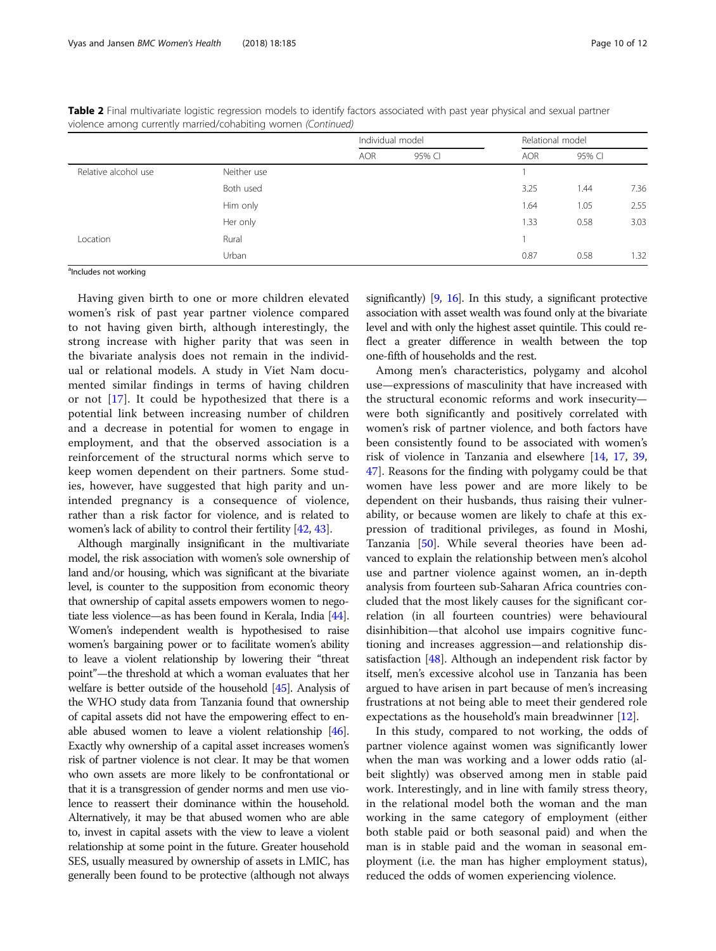|                      |             | Individual model |        |      | Relational model |      |  |
|----------------------|-------------|------------------|--------|------|------------------|------|--|
|                      |             | <b>AOR</b>       | 95% CI | AOR  | 95% CI           |      |  |
| Relative alcohol use | Neither use |                  |        |      |                  |      |  |
|                      | Both used   |                  |        | 3.25 | 1.44             | 7.36 |  |
|                      | Him only    |                  |        | 1.64 | 1.05             | 2.55 |  |
|                      | Her only    |                  |        | 1.33 | 0.58             | 3.03 |  |
| Location             | Rural       |                  |        |      |                  |      |  |
|                      | Urban       |                  |        | 0.87 | 0.58             | 1.32 |  |

Table 2 Final multivariate logistic regression models to identify factors associated with past year physical and sexual partner violence among currently married/cohabiting women (Continued)

<sup>a</sup>Includes not working

Having given birth to one or more children elevated women's risk of past year partner violence compared to not having given birth, although interestingly, the strong increase with higher parity that was seen in the bivariate analysis does not remain in the individual or relational models. A study in Viet Nam documented similar findings in terms of having children or not [[17\]](#page-11-0). It could be hypothesized that there is a potential link between increasing number of children and a decrease in potential for women to engage in employment, and that the observed association is a reinforcement of the structural norms which serve to keep women dependent on their partners. Some studies, however, have suggested that high parity and unintended pregnancy is a consequence of violence, rather than a risk factor for violence, and is related to women's lack of ability to control their fertility [\[42,](#page-11-0) [43](#page-11-0)].

Although marginally insignificant in the multivariate model, the risk association with women's sole ownership of land and/or housing, which was significant at the bivariate level, is counter to the supposition from economic theory that ownership of capital assets empowers women to negotiate less violence—as has been found in Kerala, India [\[44](#page-11-0)]. Women's independent wealth is hypothesised to raise women's bargaining power or to facilitate women's ability to leave a violent relationship by lowering their "threat point"—the threshold at which a woman evaluates that her welfare is better outside of the household [\[45\]](#page-11-0). Analysis of the WHO study data from Tanzania found that ownership of capital assets did not have the empowering effect to enable abused women to leave a violent relationship  $[46]$  $[46]$ . Exactly why ownership of a capital asset increases women's risk of partner violence is not clear. It may be that women who own assets are more likely to be confrontational or that it is a transgression of gender norms and men use violence to reassert their dominance within the household. Alternatively, it may be that abused women who are able to, invest in capital assets with the view to leave a violent relationship at some point in the future. Greater household SES, usually measured by ownership of assets in LMIC, has generally been found to be protective (although not always significantly) [\[9,](#page-10-0) [16](#page-11-0)]. In this study, a significant protective association with asset wealth was found only at the bivariate level and with only the highest asset quintile. This could reflect a greater difference in wealth between the top one-fifth of households and the rest.

Among men's characteristics, polygamy and alcohol use—expressions of masculinity that have increased with the structural economic reforms and work insecurity were both significantly and positively correlated with women's risk of partner violence, and both factors have been consistently found to be associated with women's risk of violence in Tanzania and elsewhere [\[14,](#page-11-0) [17](#page-11-0), [39](#page-11-0), [47\]](#page-11-0). Reasons for the finding with polygamy could be that women have less power and are more likely to be dependent on their husbands, thus raising their vulnerability, or because women are likely to chafe at this expression of traditional privileges, as found in Moshi, Tanzania [[50](#page-11-0)]. While several theories have been advanced to explain the relationship between men's alcohol use and partner violence against women, an in-depth analysis from fourteen sub-Saharan Africa countries concluded that the most likely causes for the significant correlation (in all fourteen countries) were behavioural disinhibition—that alcohol use impairs cognitive functioning and increases aggression—and relationship dis-satisfaction [[48\]](#page-11-0). Although an independent risk factor by itself, men's excessive alcohol use in Tanzania has been argued to have arisen in part because of men's increasing frustrations at not being able to meet their gendered role expectations as the household's main breadwinner [[12](#page-11-0)].

In this study, compared to not working, the odds of partner violence against women was significantly lower when the man was working and a lower odds ratio (albeit slightly) was observed among men in stable paid work. Interestingly, and in line with family stress theory, in the relational model both the woman and the man working in the same category of employment (either both stable paid or both seasonal paid) and when the man is in stable paid and the woman in seasonal employment (i.e. the man has higher employment status), reduced the odds of women experiencing violence.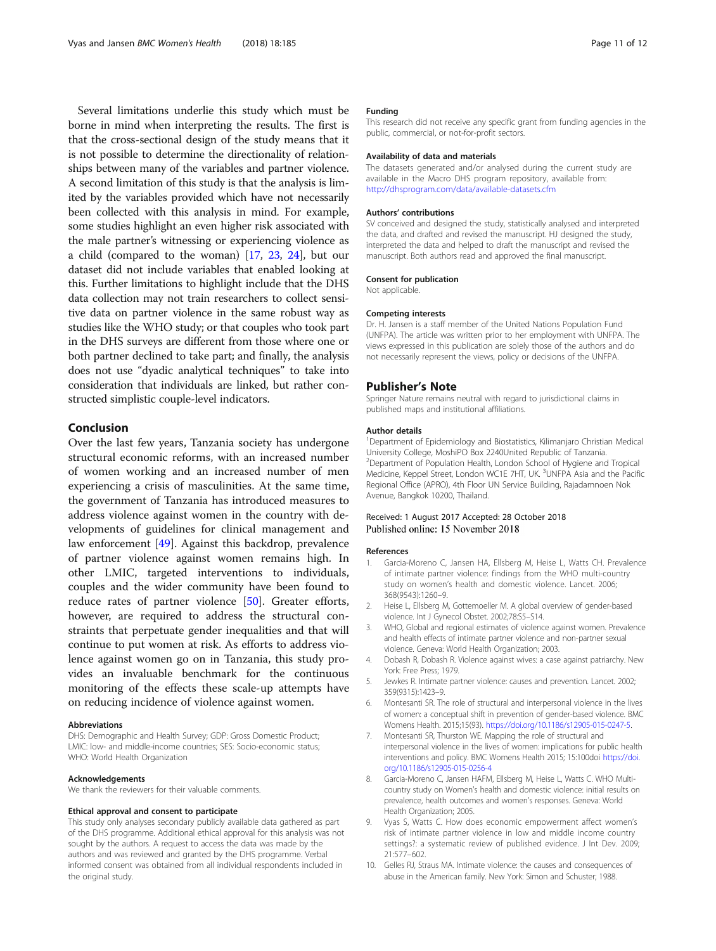<span id="page-10-0"></span>Several limitations underlie this study which must be borne in mind when interpreting the results. The first is that the cross-sectional design of the study means that it is not possible to determine the directionality of relationships between many of the variables and partner violence. A second limitation of this study is that the analysis is limited by the variables provided which have not necessarily been collected with this analysis in mind. For example, some studies highlight an even higher risk associated with the male partner's witnessing or experiencing violence as a child (compared to the woman) [\[17,](#page-11-0) [23,](#page-11-0) [24](#page-11-0)], but our dataset did not include variables that enabled looking at this. Further limitations to highlight include that the DHS data collection may not train researchers to collect sensitive data on partner violence in the same robust way as studies like the WHO study; or that couples who took part in the DHS surveys are different from those where one or both partner declined to take part; and finally, the analysis does not use "dyadic analytical techniques" to take into consideration that individuals are linked, but rather constructed simplistic couple-level indicators.

## Conclusion

Over the last few years, Tanzania society has undergone structural economic reforms, with an increased number of women working and an increased number of men experiencing a crisis of masculinities. At the same time, the government of Tanzania has introduced measures to address violence against women in the country with developments of guidelines for clinical management and law enforcement [\[49\]](#page-11-0). Against this backdrop, prevalence of partner violence against women remains high. In other LMIC, targeted interventions to individuals, couples and the wider community have been found to reduce rates of partner violence [\[50](#page-11-0)]. Greater efforts, however, are required to address the structural constraints that perpetuate gender inequalities and that will continue to put women at risk. As efforts to address violence against women go on in Tanzania, this study provides an invaluable benchmark for the continuous monitoring of the effects these scale-up attempts have on reducing incidence of violence against women.

#### Abbreviations

DHS: Demographic and Health Survey; GDP: Gross Domestic Product; LMIC: low- and middle-income countries; SES: Socio-economic status; WHO: World Health Organization

#### Acknowledgements

We thank the reviewers for their valuable comments.

## Ethical approval and consent to participate

This study only analyses secondary publicly available data gathered as part of the DHS programme. Additional ethical approval for this analysis was not sought by the authors. A request to access the data was made by the authors and was reviewed and granted by the DHS programme. Verbal informed consent was obtained from all individual respondents included in the original study.

#### Funding

This research did not receive any specific grant from funding agencies in the public, commercial, or not-for-profit sectors.

#### Availability of data and materials

The datasets generated and/or analysed during the current study are available in the Macro DHS program repository, available from: <http://dhsprogram.com/data/available-datasets.cfm>

#### Authors' contributions

SV conceived and designed the study, statistically analysed and interpreted the data, and drafted and revised the manuscript. HJ designed the study, interpreted the data and helped to draft the manuscript and revised the manuscript. Both authors read and approved the final manuscript.

#### Consent for publication

Not applicable.

#### Competing interests

Dr. H. Jansen is a staff member of the United Nations Population Fund (UNFPA). The article was written prior to her employment with UNFPA. The views expressed in this publication are solely those of the authors and do not necessarily represent the views, policy or decisions of the UNFPA.

#### Publisher's Note

Springer Nature remains neutral with regard to jurisdictional claims in published maps and institutional affiliations.

#### Author details

<sup>1</sup>Department of Epidemiology and Biostatistics, Kilimanjaro Christian Medical University College, MoshiPO Box 2240United Republic of Tanzania. <sup>2</sup>Department of Population Health, London School of Hygiene and Tropical Medicine, Keppel Street, London WC1E 7HT, UK.<sup>3</sup>UNFPA Asia and the Pacific Regional Office (APRO), 4th Floor UN Service Building, Rajadamnoen Nok Avenue, Bangkok 10200, Thailand.

## Received: 1 August 2017 Accepted: 28 October 2018 Published online: 15 November 2018

#### References

- 1. Garcia-Moreno C, Jansen HA, Ellsberg M, Heise L, Watts CH. Prevalence of intimate partner violence: findings from the WHO multi-country study on women's health and domestic violence. Lancet. 2006; 368(9543):1260–9.
- 2. Heise L, Ellsberg M, Gottemoeller M. A global overview of gender-based violence. Int J Gynecol Obstet. 2002;78:S5–S14.
- 3. WHO, Global and regional estimates of violence against women. Prevalence and health effects of intimate partner violence and non-partner sexual violence. Geneva: World Health Organization; 2003.
- 4. Dobash R, Dobash R. Violence against wives: a case against patriarchy. New York: Free Press; 1979.
- 5. Jewkes R. Intimate partner violence: causes and prevention. Lancet. 2002; 359(9315):1423–9.
- 6. Montesanti SR. The role of structural and interpersonal violence in the lives of women: a conceptual shift in prevention of gender-based violence. BMC Womens Health. 2015;15(93). [https://doi.org/10.1186/s12905-015-0247-5.](https://doi.org/10.1186/s12905-015-0247-5)
- 7. Montesanti SR, Thurston WE. Mapping the role of structural and interpersonal violence in the lives of women: implications for public health interventions and policy. BMC Womens Health 2015; 15:100doi [https://doi.](https://doi.org/10.1186/s12905-015-0256-4) [org/10.1186/s12905-015-0256-4](https://doi.org/10.1186/s12905-015-0256-4)
- Garcia-Moreno C, Jansen HAFM, Ellsberg M, Heise L, Watts C. WHO Multicountry study on Women's health and domestic violence: initial results on prevalence, health outcomes and women's responses. Geneva: World Health Organization; 2005.
- 9. Vyas S, Watts C. How does economic empowerment affect women's risk of intimate partner violence in low and middle income country settings?: a systematic review of published evidence. J Int Dev. 2009; 21:577–602.
- 10. Gelles RJ, Straus MA. Intimate violence: the causes and consequences of abuse in the American family. New York: Simon and Schuster; 1988.